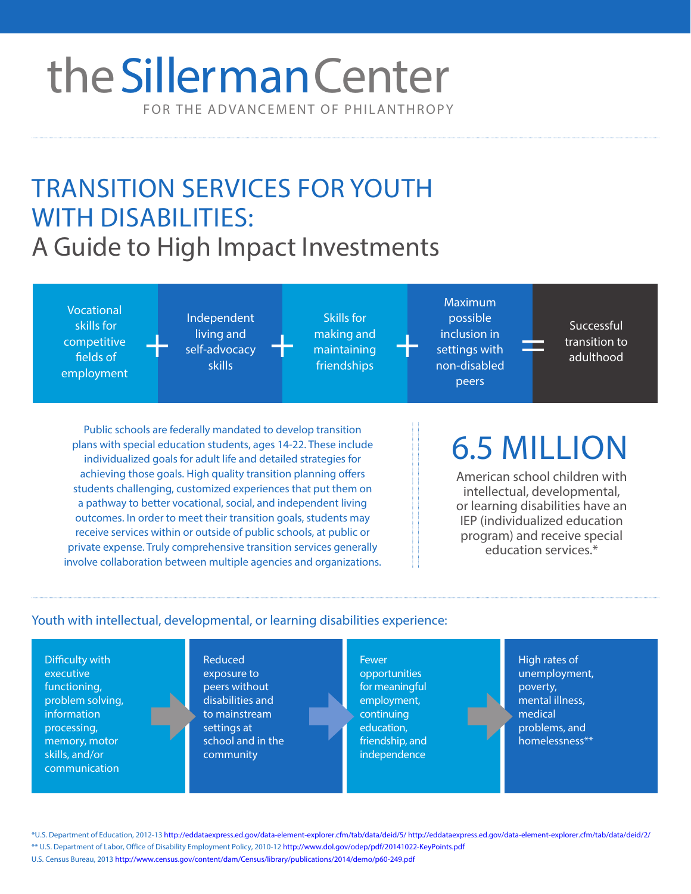## FOR THE ADVANCEMENT OF PHILANTHROPY theSillerman Center

### TRANSITION SERVICES FOR YOUTH WITH DISABILITIES: A Guide to High Impact Investments

Vocational skills for competitive fields of employment

Independent living and self-advocacy skills living and making and maintaining the self-advocacy<br>
Fransition to transition to settings with the self-advocacy<br>
friendships and transition on displod

Skills for making and maintaining friendships

Maximum possible inclusion in settings with non-disabled peers

Successful adulthood

Public schools are federally mandated to develop transition plans with special education students, ages 14-22. These include individualized goals for adult life and detailed strategies for achieving those goals. High quality transition planning offers students challenging, customized experiences that put them on a pathway to better vocational, social, and independent living outcomes. In order to meet their transition goals, students may receive services within or outside of public schools, at public or private expense. Truly comprehensive transition services generally involve collaboration between multiple agencies and organizations.

# 6.5 MILLION

American school children with intellectual, developmental, or learning disabilities have an IEP (individualized education program) and receive special education services.\*

### Youth with intellectual, developmental, or learning disabilities experience:

Difficulty with executive functioning, problem solving, information processing, memory, motor skills, and/or communication

Reduced exposure to peers without disabilities and to mainstream settings at school and in the community

**Fewer** opportunities for meaningful employment, continuing education, friendship, and independence

High rates of unemployment, poverty, mental illness, medical problems, and homelessness\*\*

\* U.S. Department of Education, 2012-13 <http://eddataexpress.ed.gov/data-element-explorer.cfm/tab/data/deid/5/ http://eddataexpress.ed.gov/data-element-explorer.cfm/tab/data/deid/2/> \*\* U.S. Department of Labor, Office of Disability Employment Policy, 2010-12<http://www.dol.gov/odep/pdf/20141022-KeyPoints.pdf>

U.S. Census Bureau, 2013<http://www.census.gov/content/dam/Census/library/publications/2014/demo/p60-249.pdf>